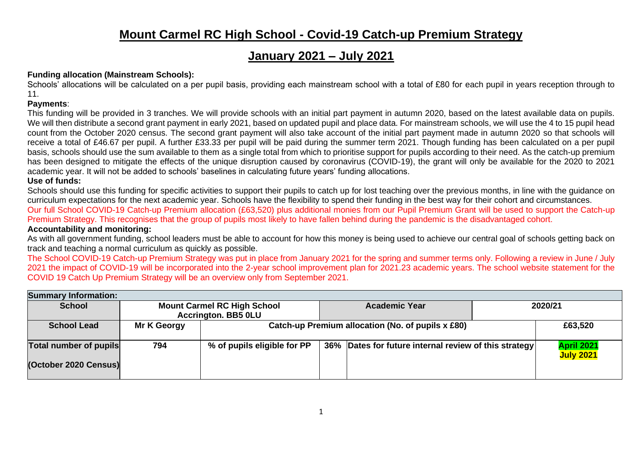## **Mount Carmel RC High School - Covid-19 Catch-up Premium Strategy**

# **January 2021 – July 2021**

### **Funding allocation (Mainstream Schools):**

Schools' allocations will be calculated on a per pupil basis, providing each mainstream school with a total of £80 for each pupil in years reception through to 11.

#### **Payments**:

This funding will be provided in 3 tranches. We will provide schools with an initial part payment in autumn 2020, based on the latest available data on pupils. We will then distribute a second grant payment in early 2021, based on updated pupil and place data. For mainstream schools, we will use the 4 to 15 pupil head count from the October 2020 census. The second grant payment will also take account of the initial part payment made in autumn 2020 so that schools will receive a total of £46.67 per pupil. A further £33.33 per pupil will be paid during the summer term 2021. Though funding has been calculated on a per pupil basis, schools should use the sum available to them as a single total from which to prioritise support for pupils according to their need. As the catch-up premium has been designed to mitigate the effects of the unique disruption caused by coronavirus (COVID-19), the grant will only be available for the 2020 to 2021 academic year. It will not be added to schools' baselines in calculating future years' funding allocations.

#### **Use of funds:**

Schools should use this funding for specific activities to support their pupils to catch up for lost teaching over the previous months, in line with the quidance on curriculum expectations for the next academic year. Schools have the flexibility to spend their funding in the best way for their cohort and circumstances. Our full School COVID-19 Catch-up Premium allocation (£63,520) plus additional monies from our Pupil Premium Grant will be used to support the Catch-up Premium Strategy. This recognises that the group of pupils most likely to have fallen behind during the pandemic is the disadvantaged cohort. **Accountability and monitoring:**

As with all government funding, school leaders must be able to account for how this money is being used to achieve our central goal of schools getting back on track and teaching a normal curriculum as quickly as possible.

The School COVID-19 Catch-up Premium Strategy was put in place from January 2021 for the spring and summer terms only. Following a review in June / July 2021 the impact of COVID-19 will be incorporated into the 2-year school improvement plan for 2021.23 academic years. The school website statement for the COVID 19 Catch Up Premium Strategy will be an overview only from September 2021.

| <b>Summary Information:</b>   |                                                                  |                             |                                                   |                                                       |  |                                |  |  |  |
|-------------------------------|------------------------------------------------------------------|-----------------------------|---------------------------------------------------|-------------------------------------------------------|--|--------------------------------|--|--|--|
| <b>School</b>                 | <b>Mount Carmel RC High School</b><br><b>Accrington. BB5 0LU</b> |                             |                                                   | <b>Academic Year</b>                                  |  | 2020/21                        |  |  |  |
| <b>School Lead</b>            | Mr K Georgy                                                      |                             | Catch-up Premium allocation (No. of pupils x £80) |                                                       |  |                                |  |  |  |
| <b>Total number of pupils</b> | 794                                                              | % of pupils eligible for PP |                                                   | 36% Dates for future internal review of this strategy |  | April 2021<br><b>July 2021</b> |  |  |  |
| (October 2020 Census)         |                                                                  |                             |                                                   |                                                       |  |                                |  |  |  |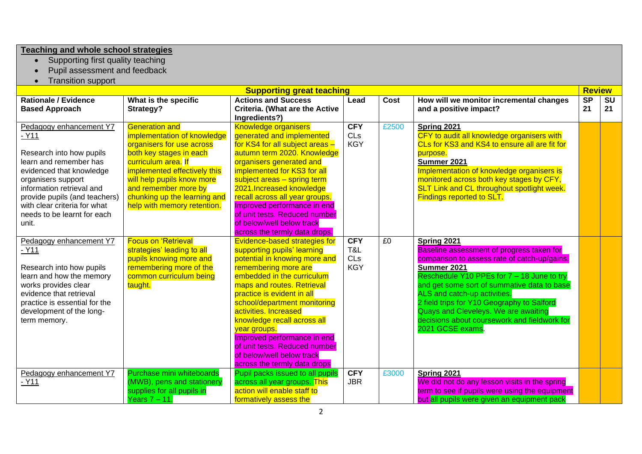#### **Teaching and whole school strategies**

- Supporting first quality teaching
- Pupil assessment and feedback
- Transition support

|                               |                              | <b>Supporting great teaching</b>      |            |             |                                                   | <b>Review</b>          |           |
|-------------------------------|------------------------------|---------------------------------------|------------|-------------|---------------------------------------------------|------------------------|-----------|
| <b>Rationale / Evidence</b>   | What is the specific         | <b>Actions and Success</b>            | Lead       | <b>Cost</b> | How will we monitor incremental changes           | $\overline{\text{SP}}$ | <b>SU</b> |
| <b>Based Approach</b>         | Strategy?                    | <b>Criteria. (What are the Active</b> |            |             | and a positive impact?                            | 21                     | 21        |
|                               |                              | Ingredients?)                         |            |             |                                                   |                        |           |
| Pedagogy enhancement Y7       | <b>Generation and</b>        | <b>Knowledge organisers</b>           | <b>CFY</b> | £2500       | Spring 2021                                       |                        |           |
| $-Y11$                        | implementation of knowledge  | generated and implemented             | CLs        |             | CFY to audit all knowledge organisers with        |                        |           |
|                               | organisers for use across    | for KS4 for all subject areas -       | <b>KGY</b> |             | CLs for KS3 and KS4 to ensure all are fit for     |                        |           |
| Research into how pupils      | both key stages in each      | autumn term 2020. Knowledge           |            |             | purpose.                                          |                        |           |
| learn and remember has        | curriculum area. If          | organisers generated and              |            |             | Summer 2021                                       |                        |           |
| evidenced that knowledge      | implemented effectively this | implemented for KS3 for all           |            |             | Implementation of knowledge organisers is         |                        |           |
| organisers support            | will help pupils know more   | subject areas - spring term           |            |             | monitored across both key stages by CFY,          |                        |           |
| information retrieval and     | and remember more by         | 2021. Increased knowledge             |            |             | <b>SLT Link and CL throughout spotlight week.</b> |                        |           |
| provide pupils (and teachers) | chunking up the learning and | recall across all year groups.        |            |             | <b>Findings reported to SLT.</b>                  |                        |           |
| with clear criteria for what  | help with memory retention.  | Improved performance in end           |            |             |                                                   |                        |           |
| needs to be learnt for each   |                              | of unit tests. Reduced number         |            |             |                                                   |                        |           |
| unit.                         |                              | of below/well below track             |            |             |                                                   |                        |           |
|                               |                              | across the termly data drops.         |            |             |                                                   |                        |           |
| Pedagogy enhancement Y7       | <b>Focus on 'Retrieval</b>   | Evidence-based strategies for         | <b>CFY</b> | £0          | Spring 2021                                       |                        |           |
| $-Y11$                        | strategies' leading to all   | supporting pupils' learning           | T&L        |             | Baseline assessment of progress taken for         |                        |           |
|                               | pupils knowing more and      | potential in knowing more and         | CLs        |             | comparison to assess rate of catch-up/gains.      |                        |           |
| Research into how pupils      | remembering more of the      | remembering more are                  | <b>KGY</b> |             | Summer 2021                                       |                        |           |
| learn and how the memory      | common curriculum being      | embedded in the curriculum            |            |             | Reschedule Y10 PPEs for 7 - 18 June to try        |                        |           |
| works provides clear          | taught.                      | maps and routes. Retrieval            |            |             | and get some sort of summative data to base       |                        |           |
| evidence that retrieval       |                              | practice is evident in all            |            |             | ALS and catch-up activities.                      |                        |           |
| practice is essential for the |                              | school/department monitoring          |            |             | 2 field trips for Y10 Geography to Salford        |                        |           |
| development of the long-      |                              | activities. Increased                 |            |             | Quays and Cleveleys. We are awaiting              |                        |           |
| term memory.                  |                              | knowledge recall across all           |            |             | decisions about coursework and fieldwork for      |                        |           |
|                               |                              | year groups.                          |            |             | 2021 GCSE exams.                                  |                        |           |
|                               |                              | Improved performance in end           |            |             |                                                   |                        |           |
|                               |                              | of unit tests. Reduced number         |            |             |                                                   |                        |           |
|                               |                              | of below/well below track             |            |             |                                                   |                        |           |
|                               |                              | across the termly data drops          |            |             |                                                   |                        |           |
| Pedagogy enhancement Y7       | Purchase mini whiteboards    | Pupil packs issued to all pupils      | <b>CFY</b> | £3000       | Spring 2021                                       |                        |           |
| - Y11                         | (MWB), pens and stationery   | across all year groups. This          | <b>JBR</b> |             | We did not do any lesson visits in the spring     |                        |           |
|                               | supplies for all pupils in   | action will enable staff to           |            |             | term to see if pupils were using the equipment    |                        |           |
|                               | Years $7 - 11$ .             | formatively assess the                |            |             | but all pupils were given an equipment pack       |                        |           |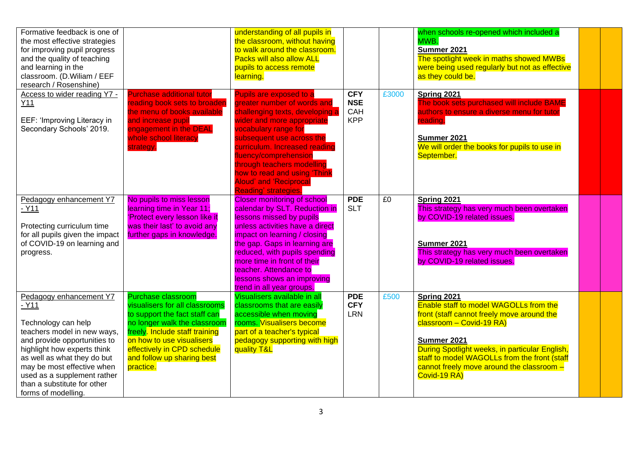| Formative feedback is one of<br>the most effective strategies<br>for improving pupil progress<br>and the quality of teaching<br>and learning in the<br>classroom. (D.Wiliam / EEF<br>research / Rosenshine)                                                                                              |                                                                                                                                                                                                                                                                       | understanding of all pupils in<br>the classroom, without having<br>to walk around the classroom.<br><b>Packs will also allow ALL</b><br>pupils to access remote<br>learning.                                                                                                                                                                                         |                                               |       | when schools re-opened which included a<br>MWB.<br>Summer 2021<br>The spotlight week in maths showed MWBs<br>were being used regularly but not as effective<br>as they could be.                                                                                                                                     |  |
|----------------------------------------------------------------------------------------------------------------------------------------------------------------------------------------------------------------------------------------------------------------------------------------------------------|-----------------------------------------------------------------------------------------------------------------------------------------------------------------------------------------------------------------------------------------------------------------------|----------------------------------------------------------------------------------------------------------------------------------------------------------------------------------------------------------------------------------------------------------------------------------------------------------------------------------------------------------------------|-----------------------------------------------|-------|----------------------------------------------------------------------------------------------------------------------------------------------------------------------------------------------------------------------------------------------------------------------------------------------------------------------|--|
| Access to wider reading Y7 -<br>Y11<br>EEF: 'Improving Literacy in<br>Secondary Schools' 2019.                                                                                                                                                                                                           | <b>Purchase additional tutor</b><br>reading book sets to broaden<br>the menu of books available<br>and increase pupil<br>engagement in the DEAL<br>whole school literacy<br>strategy.                                                                                 | Pupils are exposed to a<br>greater number of words and<br>challenging texts, developing a<br>wider and more appropriate<br>vocabulary range for<br>subsequent use across the<br>curriculum. Increased reading<br>fluency/comprehension<br>through teachers modelling<br>how to read and using 'Think<br><b>Aloud' and 'Reciprocal</b><br><b>Reading' strategies.</b> | <b>CFY</b><br><b>NSE</b><br>CAH<br><b>KPP</b> | £3000 | Spring 2021<br>The book sets purchased will include BAME<br>authors to ensure a diverse menu for tutor<br>reading.<br>Summer 2021<br>We will order the books for pupils to use in<br>September.                                                                                                                      |  |
| Pedagogy enhancement Y7<br>$-Y11$<br>Protecting curriculum time<br>for all pupils given the impact<br>of COVID-19 on learning and<br>progress.                                                                                                                                                           | No pupils to miss lesson<br>learning time in Year 11;<br>'Protect every lesson like it<br>was their last' to avoid any<br>further gaps in knowledge.                                                                                                                  | <b>Closer monitoring of school</b><br>calendar by SLT. Reduction in<br>lessons missed by pupils<br>unless activities have a direct<br>impact on learning / closing<br>the gap. Gaps in learning are<br>reduced, with pupils spending<br>more time in front of their<br>teacher. Attendance to<br>lessons shows an improving<br>trend in all year groups.             | <b>PDE</b><br><b>SLT</b>                      | £0    | Spring 2021<br>This strategy has very much been overtaken<br>by COVID-19 related issues.<br>Summer 2021<br>This strategy has very much been overtaken<br>by COVID-19 related issues.                                                                                                                                 |  |
| Pedagogy enhancement Y7<br>$-Y11$<br>Technology can help<br>teachers model in new ways,<br>and provide opportunities to<br>highlight how experts think<br>as well as what they do but<br>may be most effective when<br>used as a supplement rather<br>than a substitute for other<br>forms of modelling. | <b>Purchase classroom</b><br>visualisers for all classrooms<br>to support the fact staff can<br>no longer walk the classroom<br>freely. Include staff training<br>on how to use visualisers<br>effectively in CPD schedule<br>and follow up sharing best<br>practice. | Visualisers available in all<br>classrooms that are easily<br>accessible when moving<br>rooms. Visualisers become<br>part of a teacher's typical<br>pedagogy supporting with high<br>quality T&L                                                                                                                                                                     | <b>PDE</b><br><b>CFY</b><br><b>LRN</b>        | £500  | Spring 2021<br><b>Enable staff to model WAGOLLs from the</b><br>front (staff cannot freely move around the<br>classroom - Covid-19 RA)<br>Summer 2021<br>During Spotlight weeks, in particular English,<br>staff to model WAGOLLs from the front (staff<br>cannot freely move around the classroom -<br>Covid-19 RA) |  |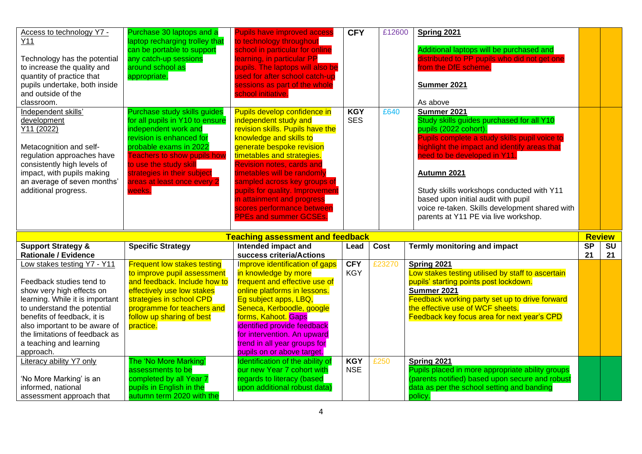| Access to technology Y7 -                                    | Purchase 30 laptops and a                                    | <b>Pupils have improved access</b>                             | <b>CFY</b> | £12600 | Spring 2021                                                            |                                 |           |
|--------------------------------------------------------------|--------------------------------------------------------------|----------------------------------------------------------------|------------|--------|------------------------------------------------------------------------|---------------------------------|-----------|
| Y11                                                          | laptop recharging trolley that<br>can be portable to support | to technology throughout<br>school in particular for online    |            |        | Additional laptops will be purchased and                               |                                 |           |
| Technology has the potential                                 | any catch-up sessions                                        | learning, in particular PP                                     |            |        | distributed to PP pupils who did not get one                           |                                 |           |
| to increase the quality and                                  | around school as                                             | pupils. The laptops will also be                               |            |        | from the DfE scheme.                                                   |                                 |           |
| quantity of practice that                                    | appropriate.                                                 | used for after school catch-up                                 |            |        |                                                                        |                                 |           |
| pupils undertake, both inside                                |                                                              | sessions as part of the whole                                  |            |        | Summer 2021                                                            |                                 |           |
| and outside of the                                           |                                                              | school initiative.                                             |            |        |                                                                        |                                 |           |
| classroom.                                                   |                                                              |                                                                |            |        | As above                                                               |                                 |           |
| Independent skills'                                          | Purchase study skills guides                                 | Pupils develop confidence in                                   | <b>KGY</b> | £640   | Summer 2021                                                            |                                 |           |
| development                                                  | for all pupils in Y10 to ensure                              | independent study and                                          | <b>SES</b> |        | Study skills guides purchased for all Y10                              |                                 |           |
| Y11 (2022)                                                   | independent work and<br>revision is enhanced for             | revision skills. Pupils have the<br>knowledge and skills to    |            |        | pupils (2022 cohort).<br>Pupils complete a study skills pupil voice to |                                 |           |
| Metacognition and self-                                      | probable exams in 2022                                       | generate bespoke revision                                      |            |        | highlight the impact and identify areas that                           |                                 |           |
| regulation approaches have                                   | <b>Teachers to show pupils how</b>                           | timetables and strategies.                                     |            |        | need to be developed in Y11.                                           |                                 |           |
| consistently high levels of                                  | to use the study skill                                       | <b>Revision notes, cards and</b>                               |            |        |                                                                        |                                 |           |
| impact, with pupils making                                   | strategies in their subject                                  | timetables will be randomly                                    |            |        | Autumn 2021                                                            |                                 |           |
| an average of seven months'                                  | areas at least once every 2                                  | sampled across key groups of                                   |            |        |                                                                        |                                 |           |
| additional progress.                                         | weeks.                                                       | pupils for quality. Improvement                                |            |        | Study skills workshops conducted with Y11                              |                                 |           |
|                                                              |                                                              | in attainment and progress                                     |            |        | based upon initial audit with pupil                                    |                                 |           |
|                                                              |                                                              | scores performance between                                     |            |        | voice re-taken. Skills development shared with                         |                                 |           |
|                                                              |                                                              |                                                                |            |        |                                                                        |                                 |           |
|                                                              |                                                              | <b>PPEs and summer GCSEs.</b>                                  |            |        | parents at Y11 PE via live workshop.                                   |                                 |           |
|                                                              |                                                              |                                                                |            |        |                                                                        |                                 |           |
| <b>Support Strategy &amp;</b>                                | <b>Specific Strategy</b>                                     | <b>Teaching assessment and feedback</b><br>Intended impact and | Lead       | Cost   | <b>Termly monitoring and impact</b>                                    | <b>Review</b><br>S <sub>P</sub> | <b>SU</b> |
| <b>Rationale / Evidence</b>                                  |                                                              | success criteria/Actions                                       |            |        |                                                                        | 21                              | 21        |
| Low stakes testing Y7 - Y11                                  | <b>Frequent low stakes testing</b>                           | Improve identification of gaps                                 | <b>CFY</b> | £23270 | Spring 2021                                                            |                                 |           |
|                                                              | to improve pupil assessment                                  | in knowledge by more                                           | <b>KGY</b> |        | Low stakes testing utilised by staff to ascertain                      |                                 |           |
| Feedback studies tend to                                     | and feedback. Include how to                                 | frequent and effective use of                                  |            |        | pupils' starting points post lockdown.                                 |                                 |           |
| show very high effects on                                    | effectively use low stakes                                   | online platforms in lessons.                                   |            |        | Summer 2021                                                            |                                 |           |
| learning. While it is important                              | strategies in school CPD                                     | Eg subject apps, LBQ,                                          |            |        | Feedback working party set up to drive forward                         |                                 |           |
| to understand the potential                                  | programme for teachers and                                   | Seneca, Kerboodle, google                                      |            |        | the effective use of WCF sheets.                                       |                                 |           |
| benefits of feedback, it is<br>also important to be aware of | follow up sharing of best                                    | forms, Kahoot. Gaps<br>identified provide feedback             |            |        | Feedback key focus area for next year's CPD                            |                                 |           |
| the limitations of feedback as                               | practice.                                                    | for intervention. An upward                                    |            |        |                                                                        |                                 |           |
| a teaching and learning                                      |                                                              | trend in all year groups for                                   |            |        |                                                                        |                                 |           |
| approach.                                                    |                                                              | pupils on or above target.                                     |            |        |                                                                        |                                 |           |
| Literacy ability Y7 only                                     | The 'No More Marking'                                        | Identification of the ability of                               | <b>KGY</b> | £250   | Spring 2021                                                            |                                 |           |
|                                                              | assessments to be                                            | our new Year 7 cohort with                                     | <b>NSE</b> |        | Pupils placed in more appropriate ability groups                       |                                 |           |
| 'No More Marking' is an                                      | completed by all Year 7                                      | regards to literacy (based                                     |            |        | (parents notified) based upon secure and robust                        |                                 |           |
| informed, national<br>assessment approach that               | pupils in English in the<br>autumn term 2020 with the        | upon additional robust data)                                   |            |        | data as per the school setting and banding<br>policy.                  |                                 |           |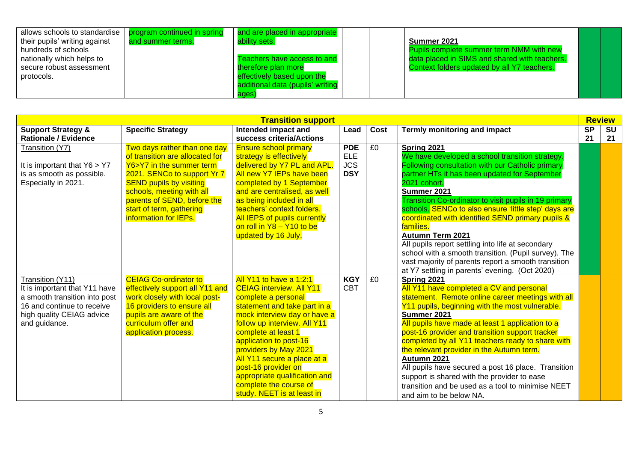| allows schools to standardise | program continued in spring | and are placed in appropriate    |                                                 |  |
|-------------------------------|-----------------------------|----------------------------------|-------------------------------------------------|--|
| their pupils' writing against | and summer terms.           | ability sets.                    | Summer 2021                                     |  |
| hundreds of schools           |                             |                                  | <b>Pupils complete summer term NMM with new</b> |  |
| nationally which helps to     |                             | Teachers have access to and      | data placed in SIMS and shared with teachers.   |  |
| secure robust assessment      |                             | therefore plan more              | Context folders updated by all Y7 teachers.     |  |
| protocols.                    |                             | effectively based upon the       |                                                 |  |
|                               |                             | additional data (pupils' writing |                                                 |  |
|                               |                             | ages)                            |                                                 |  |

|                                                                                                                                                                |                                                                                                                                                                                                                                                                               | <b>Transition support</b>                                                                                                                                                                                                                                                                                                                                                                                         |                                                      |      |                                                                                                                                                                                                                                                                                                                                                                                                                                                                                                                                                                                              |           | <b>Review</b> |
|----------------------------------------------------------------------------------------------------------------------------------------------------------------|-------------------------------------------------------------------------------------------------------------------------------------------------------------------------------------------------------------------------------------------------------------------------------|-------------------------------------------------------------------------------------------------------------------------------------------------------------------------------------------------------------------------------------------------------------------------------------------------------------------------------------------------------------------------------------------------------------------|------------------------------------------------------|------|----------------------------------------------------------------------------------------------------------------------------------------------------------------------------------------------------------------------------------------------------------------------------------------------------------------------------------------------------------------------------------------------------------------------------------------------------------------------------------------------------------------------------------------------------------------------------------------------|-----------|---------------|
| <b>Support Strategy &amp;</b>                                                                                                                                  | <b>Specific Strategy</b>                                                                                                                                                                                                                                                      | Intended impact and                                                                                                                                                                                                                                                                                                                                                                                               | Lead                                                 | Cost | Termly monitoring and impact                                                                                                                                                                                                                                                                                                                                                                                                                                                                                                                                                                 | <b>SP</b> | <b>SU</b>     |
| <b>Rationale / Evidence</b>                                                                                                                                    |                                                                                                                                                                                                                                                                               | success criteria/Actions                                                                                                                                                                                                                                                                                                                                                                                          |                                                      |      |                                                                                                                                                                                                                                                                                                                                                                                                                                                                                                                                                                                              | 21        | 21            |
| Transition (Y7)<br>It is important that $Y6 > Y7$<br>is as smooth as possible.<br>Especially in 2021.                                                          | Two days rather than one day<br>of transition are allocated for<br>Y6>Y7 in the summer term<br>2021. SENCo to support Yr 7<br><b>SEND pupils by visiting</b><br>schools, meeting with all<br>parents of SEND, before the<br>start of term, gathering<br>information for IEPs. | <b>Ensure school primary</b><br>strategy is effectively<br>delivered by Y7 PL and APL.<br>All new Y7 IEPs have been<br>completed by 1 September<br>and are centralised, as well<br>as being included in all<br>teachers' context folders.<br><b>All IEPS of pupils currently</b><br>on roll in Y8 - Y10 to be                                                                                                     | <b>PDE</b><br><b>ELE</b><br><b>JCS</b><br><b>DSY</b> | £0   | Spring 2021<br>We have developed a school transition strategy.<br>Following consultation with our Catholic primary<br>partner HTs it has been updated for September<br>2021 cohort.<br>Summer 2021<br>Transition Co-ordinator to visit pupils in 19 primary<br>schools. SENCo to also ensure 'little step' days are<br>coordinated with identified SEND primary pupils &<br>families.                                                                                                                                                                                                        |           |               |
|                                                                                                                                                                |                                                                                                                                                                                                                                                                               | updated by 16 July.                                                                                                                                                                                                                                                                                                                                                                                               |                                                      |      | <b>Autumn Term 2021</b><br>All pupils report settling into life at secondary<br>school with a smooth transition. (Pupil survey). The<br>vast majority of parents report a smooth transition<br>at Y7 settling in parents' evening. (Oct 2020)                                                                                                                                                                                                                                                                                                                                                |           |               |
| Transition (Y11)<br>It is important that Y11 have<br>a smooth transition into post<br>16 and continue to receive<br>high quality CEIAG advice<br>and guidance. | <b>CEIAG Co-ordinator to</b><br>effectively support all Y11 and<br>work closely with local post-<br>16 providers to ensure all<br>pupils are aware of the<br>curriculum offer and<br>application process.                                                                     | <b>All Y11 to have a 1:2:1</b><br><b>CEIAG interview. All Y11</b><br>complete a personal<br>statement and take part in a<br>mock interview day or have a<br>follow up interview. All Y11<br>complete at least 1<br>application to post-16<br>providers by May 2021<br>All Y11 secure a place at a<br>post-16 provider on<br>appropriate qualification and<br>complete the course of<br>study. NEET is at least in | <b>KGY</b><br><b>CBT</b>                             | £0   | Spring 2021<br>All Y11 have completed a CV and personal<br>statement. Remote online career meetings with all<br>Y11 pupils, beginning with the most vulnerable.<br>Summer 2021<br>All pupils have made at least 1 application to a<br>post-16 provider and transition support tracker<br>completed by all Y11 teachers ready to share with<br>the relevant provider in the Autumn term.<br>Autumn 2021<br>All pupils have secured a post 16 place. Transition<br>support is shared with the provider to ease<br>transition and be used as a tool to minimise NEET<br>and aim to be below NA. |           |               |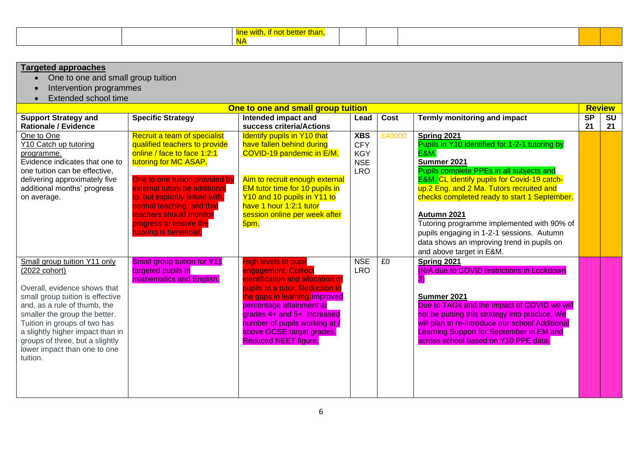|  | <b><i><u>Participal</u></i></b><br>ен.<br>ilidi I. |  |  |
|--|----------------------------------------------------|--|--|
|  | 1 V 7                                              |  |  |

| <b>Targeted approaches</b>                                                                                                                                                                                                                                                                                                            |                                                                                                                                                                                                                                                                                                                                          |                                                                                                                                                                                                                                                                                                                     |                                                                    |        |                                                                                                                                                                                                                                                                                                                                                                                                                                                |               |           |
|---------------------------------------------------------------------------------------------------------------------------------------------------------------------------------------------------------------------------------------------------------------------------------------------------------------------------------------|------------------------------------------------------------------------------------------------------------------------------------------------------------------------------------------------------------------------------------------------------------------------------------------------------------------------------------------|---------------------------------------------------------------------------------------------------------------------------------------------------------------------------------------------------------------------------------------------------------------------------------------------------------------------|--------------------------------------------------------------------|--------|------------------------------------------------------------------------------------------------------------------------------------------------------------------------------------------------------------------------------------------------------------------------------------------------------------------------------------------------------------------------------------------------------------------------------------------------|---------------|-----------|
| One to one and small group tuition<br>$\bullet$                                                                                                                                                                                                                                                                                       |                                                                                                                                                                                                                                                                                                                                          |                                                                                                                                                                                                                                                                                                                     |                                                                    |        |                                                                                                                                                                                                                                                                                                                                                                                                                                                |               |           |
| Intervention programmes                                                                                                                                                                                                                                                                                                               |                                                                                                                                                                                                                                                                                                                                          |                                                                                                                                                                                                                                                                                                                     |                                                                    |        |                                                                                                                                                                                                                                                                                                                                                                                                                                                |               |           |
| Extended school time                                                                                                                                                                                                                                                                                                                  |                                                                                                                                                                                                                                                                                                                                          |                                                                                                                                                                                                                                                                                                                     |                                                                    |        |                                                                                                                                                                                                                                                                                                                                                                                                                                                |               |           |
|                                                                                                                                                                                                                                                                                                                                       |                                                                                                                                                                                                                                                                                                                                          | One to one and small group tuition                                                                                                                                                                                                                                                                                  |                                                                    |        |                                                                                                                                                                                                                                                                                                                                                                                                                                                | <b>Review</b> |           |
| <b>Support Strategy and</b>                                                                                                                                                                                                                                                                                                           | <b>Specific Strategy</b>                                                                                                                                                                                                                                                                                                                 | Intended impact and                                                                                                                                                                                                                                                                                                 | Lead                                                               | Cost   | Termly monitoring and impact                                                                                                                                                                                                                                                                                                                                                                                                                   | <b>SP</b>     | <b>SU</b> |
| <b>Rationale / Evidence</b>                                                                                                                                                                                                                                                                                                           |                                                                                                                                                                                                                                                                                                                                          | success criteria/Actions                                                                                                                                                                                                                                                                                            |                                                                    |        |                                                                                                                                                                                                                                                                                                                                                                                                                                                | 21            | 21        |
| One to One<br>Y10 Catch up tutoring<br>programme.<br>Evidence indicates that one to<br>one tuition can be effective,<br>delivering approximately five<br>additional months' progress<br>on average.                                                                                                                                   | Recruit a team of specialist<br>qualified teachers to provide<br>online / face to face 1:2:1<br>tutoring for MC ASAP.<br>One to one tuition provided by<br>external tutors be additional<br>to, but explicitly linked with,<br>normal teaching, and that<br>teachers should monitor<br>progress to ensure the<br>tutoring is beneficial. | <b>Identify pupils in Y10 that</b><br>have fallen behind during<br>COVID-19 pandemic in E/M.<br>Aim to recruit enough external<br>EM tutor time for 10 pupils in<br>Y10 and 10 pupils in Y11 to<br>have 1 hour 1:2:1 tutor<br>session online per week after<br>5pm.                                                 | <b>XBS</b><br><b>CFY</b><br><b>KGY</b><br><b>NSE</b><br><b>LRO</b> | £40000 | Spring 2021<br>Pupils in Y10 identified for 1-2-1 tutoring by<br><b>E&amp;M.</b><br>Summer 2021<br>Pupils complete PPEs in all subjects and<br>E&M. CL identify pupils for Covid-19 catch-<br>up.2 Eng. and 2 Ma. Tutors recruited and<br>checks completed ready to start 1 September.<br>Autumn 2021<br>Tutoring programme implemented with 90% of<br>pupils engaging in 1-2-1 sessions. Autumn<br>data shows an improving trend in pupils on |               |           |
| Small group tuition Y11 only<br>(2022 cohort)<br>Overall, evidence shows that<br>small group tuition is effective<br>and, as a rule of thumb, the<br>smaller the group the better.<br>Tuition in groups of two has<br>a slightly higher impact than in<br>groups of three, but a slightly<br>lower impact than one to one<br>tuition. | <b>Small group tuition for Y11</b><br>targeted pupils in<br>mathematics and English.                                                                                                                                                                                                                                                     | <b>High levels of pupil</b><br>engagement. Correct<br>identification and allocation of<br>pupils to a tutor. Reduction in<br>the gaps in learning. Improved<br>percentage attainment at<br>grades 4+ and 5+. Increased<br>number of pupils working at /<br>above GCSE target grades.<br><b>Reduced NEET figure.</b> | <b>NSE</b><br><b>LRO</b>                                           | £0     | and above target in E&M.<br>Spring 2021<br>(N/A due to COVID restrictions in Lockdown<br>3)<br>Summer 2021<br>Due to TAGs and the impact of COVID we will<br>not be putting this strategy into practice. We<br>will plan to re-introduce our school Additional<br><b>Learning Support for September in EM and</b><br>across school based on Y10 PPE data.                                                                                      |               |           |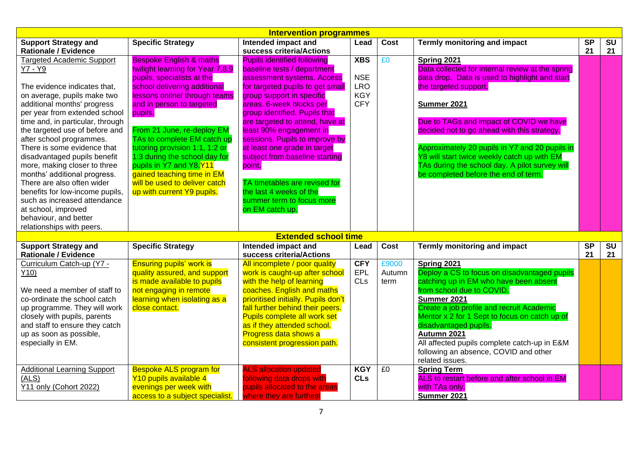|                                                                                                                                                                                                                                                                                                                                                                                                                                                                                                                                                                                           |                                                                                                                                                                                                                                                                                                                                                                                                                                                                       | <b>Intervention programmes</b>                                                                                                                                                                                                                                                                                                                                                                                                                                                                                        |                                                                    |                         |                                                                                                                                                                                                                                                                                                                                                                                                                                                |                              |                              |
|-------------------------------------------------------------------------------------------------------------------------------------------------------------------------------------------------------------------------------------------------------------------------------------------------------------------------------------------------------------------------------------------------------------------------------------------------------------------------------------------------------------------------------------------------------------------------------------------|-----------------------------------------------------------------------------------------------------------------------------------------------------------------------------------------------------------------------------------------------------------------------------------------------------------------------------------------------------------------------------------------------------------------------------------------------------------------------|-----------------------------------------------------------------------------------------------------------------------------------------------------------------------------------------------------------------------------------------------------------------------------------------------------------------------------------------------------------------------------------------------------------------------------------------------------------------------------------------------------------------------|--------------------------------------------------------------------|-------------------------|------------------------------------------------------------------------------------------------------------------------------------------------------------------------------------------------------------------------------------------------------------------------------------------------------------------------------------------------------------------------------------------------------------------------------------------------|------------------------------|------------------------------|
| <b>Support Strategy and</b><br><b>Rationale / Evidence</b>                                                                                                                                                                                                                                                                                                                                                                                                                                                                                                                                | <b>Specific Strategy</b>                                                                                                                                                                                                                                                                                                                                                                                                                                              | Intended impact and<br>success criteria/Actions                                                                                                                                                                                                                                                                                                                                                                                                                                                                       | Lead                                                               | Cost                    | Termly monitoring and impact                                                                                                                                                                                                                                                                                                                                                                                                                   | $\overline{\text{SP}}$<br>21 | $\overline{\text{SU}}$<br>21 |
| <b>Targeted Academic Support</b><br>Y7 - Y9<br>The evidence indicates that,<br>on average, pupils make two<br>additional months' progress<br>per year from extended school<br>time and, in particular, through<br>the targeted use of before and<br>after school programmes.<br>There is some evidence that<br>disadvantaged pupils benefit<br>more, making closer to three<br>months' additional progress.<br>There are also often wider<br>benefits for low-income pupils,<br>such as increased attendance<br>at school, improved<br>behaviour, and better<br>relationships with peers. | <b>Bespoke English &amp; maths</b><br>twilight learning for Year 7,8,9<br>pupils, specialists at the<br>school delivering additional<br>lessons online/ through teams<br>and in person to targeted<br>pupils.<br>From 21 June, re-deploy EM<br>TAs to complete EM catch up<br>tutoring provision 1:1, 1:2 or<br>1:3 during the school day for<br>pupils in Y7 and Y8.Y11<br>gained teaching time in EM<br>will be used to deliver catch<br>up with current Y9 pupils. | <b>Pupils identified following</b><br>baseline tests / department<br>assessment systems. Access<br>for targeted pupils to get small<br>group support in specific<br>areas. 6-week blocks per<br>group identified. Pupils that<br>are targeted to attend, have at<br>least 90% engagement in<br>sessions. Pupils to improve by<br>at least one grade in target<br>subject from baseline starting<br>point.<br>TA timetables are revised for<br>the last 4 weeks of the<br>summer term to focus more<br>on EM catch up. | <b>XBS</b><br><b>NSE</b><br><b>LRO</b><br><b>KGY</b><br><b>CFY</b> | £0                      | Spring 2021<br>Data collected for internal review at the spring<br>data drop. Data is used to highlight and start<br>the targeted support.<br>Summer 2021<br>Due to TAGs and impact of COVID we have<br>decided not to go ahead with this strategy.<br>Approximately 20 pupils in Y7 and 20 pupils in<br>Y8 will start twice weekly catch up with EM<br>TAs during the school day. A pilot survey will<br>be completed before the end of term. |                              |                              |
|                                                                                                                                                                                                                                                                                                                                                                                                                                                                                                                                                                                           |                                                                                                                                                                                                                                                                                                                                                                                                                                                                       | <b>Extended school time</b>                                                                                                                                                                                                                                                                                                                                                                                                                                                                                           |                                                                    |                         |                                                                                                                                                                                                                                                                                                                                                                                                                                                |                              |                              |
| <b>Support Strategy and</b><br><b>Rationale / Evidence</b>                                                                                                                                                                                                                                                                                                                                                                                                                                                                                                                                | <b>Specific Strategy</b>                                                                                                                                                                                                                                                                                                                                                                                                                                              | Intended impact and<br>success criteria/Actions                                                                                                                                                                                                                                                                                                                                                                                                                                                                       | Lead                                                               | Cost                    | <b>Termly monitoring and impact</b>                                                                                                                                                                                                                                                                                                                                                                                                            | $\overline{\text{SP}}$<br>21 | $\overline{\text{SU}}$<br>21 |
| Curriculum Catch-up (Y7 -<br>Y10)<br>We need a member of staff to<br>co-ordinate the school catch<br>up programme. They will work<br>closely with pupils, parents<br>and staff to ensure they catch<br>up as soon as possible,<br>especially in EM.                                                                                                                                                                                                                                                                                                                                       | <b>Ensuring pupils' work is</b><br>quality assured, and support<br>is made available to pupils<br>not engaging in remote<br>learning when isolating as a<br>close contact.                                                                                                                                                                                                                                                                                            | All incomplete / poor quality<br>work is caught-up after school<br>with the help of learning<br>coaches. English and maths<br>prioritised initially. Pupils don't<br>fall further behind their peers.<br>Pupils complete all work set<br>as if they attended school.<br>Progress data shows a<br>consistent progression path.                                                                                                                                                                                         | <b>CFY</b><br>EPL<br>CLs                                           | £9000<br>Autumn<br>term | Spring 2021<br>Deploy a CS to focus on disadvantaged pupils<br>catching up in EM who have been absent<br>from school due to COVID.<br>Summer 2021<br>Create a job profile and recruit Academic<br>Mentor x 2 for 1 Sept to focus on catch up of<br>disadvantaged pupils.<br>Autumn 2021<br>All affected pupils complete catch-up in E&M<br>following an absence, COVID and other<br>related issues.                                            |                              |                              |
| <b>Additional Learning Support</b><br>(ALS)<br>Y11 only (Cohort 2022)                                                                                                                                                                                                                                                                                                                                                                                                                                                                                                                     | <b>Bespoke ALS program for</b><br>Y10 pupils available 4<br>evenings per week with<br>access to a subject specialist.                                                                                                                                                                                                                                                                                                                                                 | <b>ALS allocation updated</b><br>following data drops with<br>pupils allocated to the areas<br>where they are furthest                                                                                                                                                                                                                                                                                                                                                                                                | <b>KGY</b><br><b>CLs</b>                                           | E <sub>0</sub>          | <b>Spring Term</b><br>ALS to restart before and after school in EM<br>with TAs only.<br>Summer 2021                                                                                                                                                                                                                                                                                                                                            |                              |                              |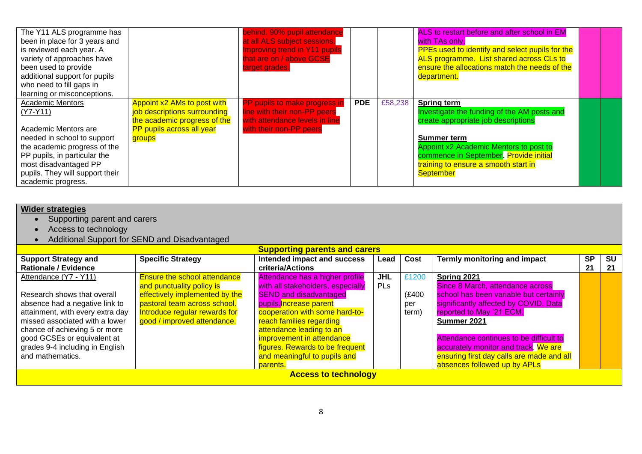| The Y11 ALS programme has<br>been in place for 3 years and<br>is reviewed each year. A<br>variety of approaches have<br>been used to provide<br>additional support for pupils<br>who need to fill gaps in<br>learning or misconceptions.       |                                                                                                                                    | behind. 90% pupil attendance<br>at all ALS subject sessions.<br>Improving trend in Y11 pupils<br>that are on / above GCSE<br>target grades. |            |         | ALS to restart before and after school in EM<br>with TAs only.<br>PPEs used to identify and select pupils for the<br>ALS programme. List shared across CLs to<br>ensure the allocations match the needs of the<br>department.                                           |  |
|------------------------------------------------------------------------------------------------------------------------------------------------------------------------------------------------------------------------------------------------|------------------------------------------------------------------------------------------------------------------------------------|---------------------------------------------------------------------------------------------------------------------------------------------|------------|---------|-------------------------------------------------------------------------------------------------------------------------------------------------------------------------------------------------------------------------------------------------------------------------|--|
| <b>Academic Mentors</b><br>$(Y7-Y11)$<br>Academic Mentors are<br>needed in school to support<br>the academic progress of the<br>PP pupils, in particular the<br>most disadvantaged PP<br>pupils. They will support their<br>academic progress. | Appoint x2 AMs to post with<br>job descriptions surrounding<br>the academic progress of the<br>PP pupils across all year<br>groups | PP pupils to make progress in<br>line with their non-PP peers<br>with attendance levels in line<br>with their non-PP peers                  | <b>PDE</b> | £58,238 | <b>Spring term</b><br>Investigate the funding of the AM posts and<br>create appropriate job descriptions<br>Summer term<br>Appoint x2 Academic Mentors to post to<br>commence in September. Provide initial<br>training to ensure a smooth start in<br><b>September</b> |  |

| <b>Wider strategies</b>                                    |                                               |                                                 |            |       |                                           |                 |                 |  |
|------------------------------------------------------------|-----------------------------------------------|-------------------------------------------------|------------|-------|-------------------------------------------|-----------------|-----------------|--|
| Supporting parent and carers                               |                                               |                                                 |            |       |                                           |                 |                 |  |
| Access to technology                                       |                                               |                                                 |            |       |                                           |                 |                 |  |
|                                                            | Additional Support for SEND and Disadvantaged |                                                 |            |       |                                           |                 |                 |  |
| <b>Supporting parents and carers</b>                       |                                               |                                                 |            |       |                                           |                 |                 |  |
| <b>Support Strategy and</b><br><b>Rationale / Evidence</b> | <b>Specific Strategy</b>                      | Intended impact and success<br>criteria/Actions | Lead       | Cost  | Termly monitoring and impact              | <b>SP</b><br>21 | <b>SU</b><br>21 |  |
| Attendance (Y7 - Y11)                                      | <b>Ensure the school attendance</b>           | Attendance has a higher profile                 | <b>JHL</b> | £1200 | Spring 2021                               |                 |                 |  |
|                                                            | and punctuality policy is                     | with all stakeholders, especially               | <b>PLs</b> |       | Since 8 March, attendance across          |                 |                 |  |
| Research shows that overall                                | effectively implemented by the                | <b>SEND and disadvantaged</b>                   |            | (£400 | school has been variable but certainly    |                 |                 |  |
| absence had a negative link to                             | pastoral team across school.                  | pupils. Increase parent                         |            | per   | significantly affected by COVID. Data     |                 |                 |  |
| attainment, with every extra day                           | Introduce regular rewards for                 | cooperation with some hard-to-                  |            | term) | reported to May '21 ECM.                  |                 |                 |  |
| missed associated with a lower                             | good / improved attendance.                   | reach families regarding                        |            |       | Summer 2021                               |                 |                 |  |
| chance of achieving 5 or more                              |                                               | attendance leading to an                        |            |       |                                           |                 |                 |  |
| good GCSEs or equivalent at                                |                                               | improvement in attendance                       |            |       | Attendance continues to be difficult to   |                 |                 |  |
| grades 9-4 including in English                            |                                               | figures. Rewards to be frequent                 |            |       | accurately monitor and track. We are      |                 |                 |  |
| and mathematics.                                           |                                               | and meaningful to pupils and                    |            |       | ensuring first day calls are made and all |                 |                 |  |
|                                                            |                                               | parents.                                        |            |       | absences followed up by APLs              |                 |                 |  |
|                                                            |                                               | <b>Access to technology</b>                     |            |       |                                           |                 |                 |  |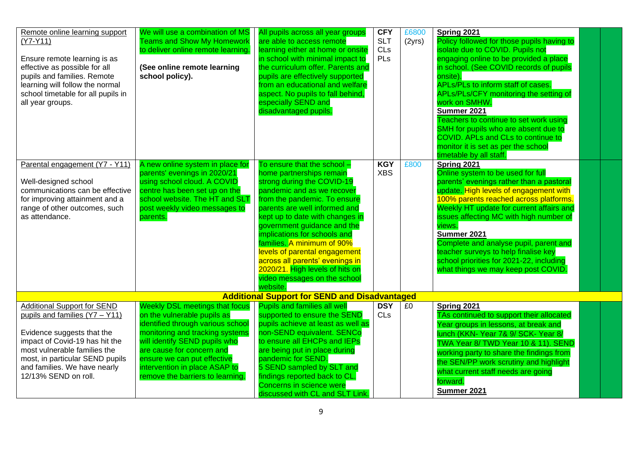| Remote online learning support<br>(Y7-Y11)<br>Ensure remote learning is as<br>effective as possible for all<br>pupils and families. Remote<br>learning will follow the normal<br>school timetable for all pupils in<br>all year groups.                         | We will use a combination of MS<br><b>Teams and Show My Homework</b><br>to deliver online remote learning.<br>(See online remote learning<br>school policy).                                                                                                                                                   | All pupils across all year groups<br>are able to access remote<br>learning either at home or onsite<br>in school with minimal impact to<br>the curriculum offer. Parents and<br>pupils are effectively supported<br>from an educational and welfare<br>aspect. No pupils to fall behind,<br>especially SEND and<br>disadvantaged pupils.                                                                                                                                | <b>CFY</b><br><b>SLT</b><br>CLs<br>PLs | £6800<br>(2yrs) | Spring 2021<br>Policy followed for those pupils having to<br>isolate due to COVID. Pupils not<br>engaging online to be provided a place<br>in school. (See COVID records of pupils<br>onsite).<br><b>APLs/PLs to inform staff of cases.</b><br>APLs/PLs/CFY monitoring the setting of<br>work on SMHW.<br>Summer 2021<br>Teachers to continue to set work using<br>SMH for pupils who are absent due to<br>COVID. APLs and CLs to continue to<br>monitor it is set as per the school<br>timetable by all staff. |
|-----------------------------------------------------------------------------------------------------------------------------------------------------------------------------------------------------------------------------------------------------------------|----------------------------------------------------------------------------------------------------------------------------------------------------------------------------------------------------------------------------------------------------------------------------------------------------------------|-------------------------------------------------------------------------------------------------------------------------------------------------------------------------------------------------------------------------------------------------------------------------------------------------------------------------------------------------------------------------------------------------------------------------------------------------------------------------|----------------------------------------|-----------------|-----------------------------------------------------------------------------------------------------------------------------------------------------------------------------------------------------------------------------------------------------------------------------------------------------------------------------------------------------------------------------------------------------------------------------------------------------------------------------------------------------------------|
| Parental engagement (Y7 - Y11)<br>Well-designed school<br>communications can be effective<br>for improving attainment and a<br>range of other outcomes, such<br>as attendance.                                                                                  | A new online system in place for<br>parents' evenings in 2020/21<br>using school cloud. A COVID<br>centre has been set up on the<br>school website. The HT and SLT<br>post weekly video messages to<br>parents.                                                                                                | To ensure that the school -<br>home partnerships remain<br>strong during the COVID-19<br>pandemic and as we recover<br>from the pandemic. To ensure<br>parents are well informed and<br>kept up to date with changes in<br>government guidance and the<br>implications for schools and<br>families. A minimum of 90%<br>levels of parental engagement<br>across all parents' evenings in<br>2020/21. High levels of hits on<br>video messages on the school<br>website. | <b>KGY</b><br><b>XBS</b>               | £800            | Spring 2021<br>Online system to be used for full<br>parents' evenings rather than a pastoral<br>update. High levels of engagement with<br>100% parents reached across platforms.<br>Weekly HT update for current affairs and<br>issues affecting MC with high number of<br>views.<br>Summer 2021<br>Complete and analyse pupil, parent and<br>teacher surveys to help finalise key<br>school priorities for 2021-22, including<br>what things we may keep post COVID.                                           |
|                                                                                                                                                                                                                                                                 |                                                                                                                                                                                                                                                                                                                | <b>Additional Support for SEND and Disadvantaged</b>                                                                                                                                                                                                                                                                                                                                                                                                                    |                                        |                 |                                                                                                                                                                                                                                                                                                                                                                                                                                                                                                                 |
| <b>Additional Support for SEND</b><br>pupils and families (Y7 - Y11)<br>Evidence suggests that the<br>impact of Covid-19 has hit the<br>most vulnerable families the<br>most, in particular SEND pupils<br>and families. We have nearly<br>12/13% SEND on roll. | <b>Weekly DSL meetings that focus</b><br>on the vulnerable pupils as<br>identified through various school<br>monitoring and tracking systems<br>will identify SEND pupils who<br>are cause for concern and<br>ensure we can put effective<br>intervention in place ASAP to<br>remove the barriers to learning. | <b>Pupils and families all well</b><br>supported to ensure the SEND<br>pupils achieve at least as well as<br>non-SEND equivalent. SENCo<br>to ensure all EHCPs and IEPs<br>are being put in place during<br>pandemic for SEND.<br>5 SEND sampled by SLT and<br>findings reported back to CL.<br>Concerns in science were<br>discussed with CL and SLT Link.                                                                                                             | <b>DSY</b><br>CLs                      | £0              | Spring 2021<br>TAs continued to support their allocated<br>Year groups in lessons, at break and<br>lunch (KKN- Year 7& 9/ SCK- Year 8/<br>TWA Year 8/ TWD Year 10 & 11). SEND<br>working party to share the findings from<br>the SEN/PP work scrutiny and highlight<br>what current staff needs are going<br>forward.<br>Summer 2021                                                                                                                                                                            |